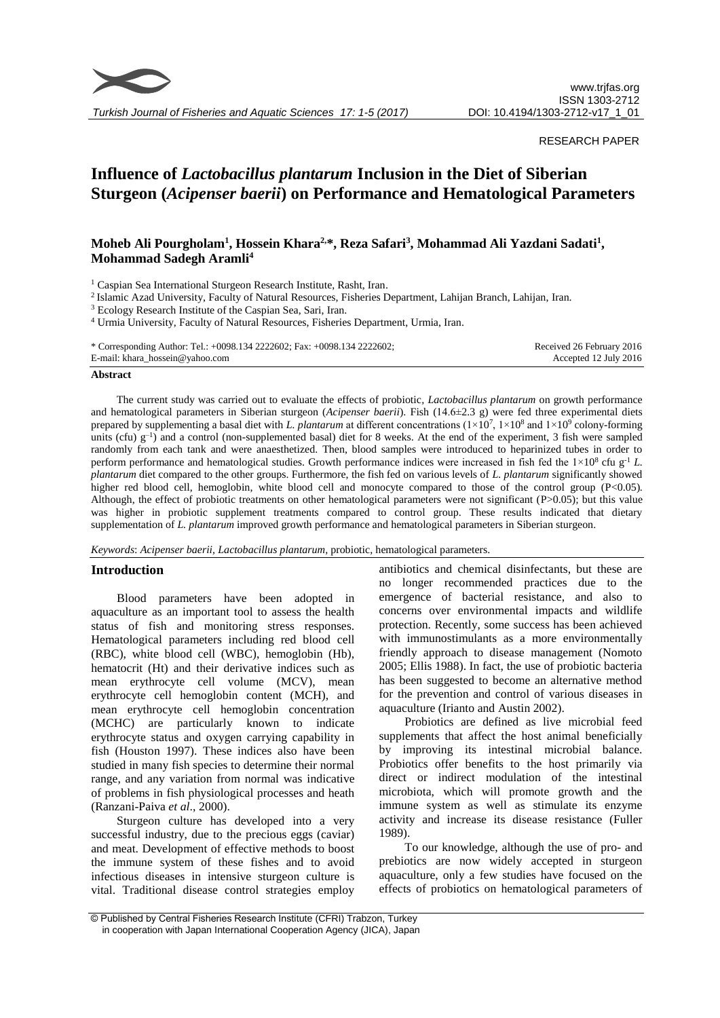

RESEARCH PAPER

# **Influence of** *Lactobacillus plantarum* **Inclusion in the Diet of Siberian Sturgeon (***Acipenser baerii***) on Performance and Hematological Parameters**

# **Moheb Ali Pourgholam<sup>1</sup> , Hossein Khara2,\*, Reza Safari<sup>3</sup> , Mohammad Ali Yazdani Sadati<sup>1</sup> , Mohammad Sadegh Aramli<sup>4</sup>**

<sup>1</sup> Caspian Sea International Sturgeon Research Institute, Rasht, Iran.

2 Islamic Azad University, Faculty of Natural Resources, Fisheries Department, Lahijan Branch, Lahijan, Iran.

<sup>3</sup> Ecology Research Institute of the Caspian Sea, Sari, Iran.

<sup>4</sup> Urmia University, Faculty of Natural Resources, Fisheries Department, Urmia, Iran.

| * Corresponding Author: Tel.: +0098.134 2222602; Fax: +0098.134 2222602; | Received 26 February 2016 |
|--------------------------------------------------------------------------|---------------------------|
| E-mail: khara_hossein@yahoo.com                                          | Accepted 12 July 2016     |

# **Abstract**

The current study was carried out to evaluate the effects of probiotic*, Lactobacillus plantarum* on growth performance and hematological parameters in Siberian sturgeon (*Acipenser baerii*). Fish (14.6±2.3 g) were fed three experimental diets prepared by supplementing a basal diet with *L. plantarum* at different concentrations  $(1\times10^7, 1\times10^8$  and  $1\times10^9$  colony-forming units (cfu)  $g^{-1}$ ) and a control (non-supplemented basal) diet for 8 weeks. At the end of the experiment, 3 fish were sampled randomly from each tank and were anaesthetized. Then, blood samples were introduced to heparinized tubes in order to perform performance and hematological studies. Growth performance indices were increased in fish fed the  $1\times10^8$  cfu g<sup>-1</sup> L. *plantarum* diet compared to the other groups. Furthermore, the fish fed on various levels of *L. plantarum* significantly showed higher red blood cell, hemoglobin, white blood cell and monocyte compared to those of the control group (P<0.05). Although, the effect of probiotic treatments on other hematological parameters were not significant (P>0.05); but this value was higher in probiotic supplement treatments compared to control group. These results indicated that dietary supplementation of *L. plantarum* improved growth performance and hematological parameters in Siberian sturgeon.

*Keywords*: *Acipenser baerii, Lactobacillus plantarum,* probiotic*,* hematological parameters.

# **Introduction**

Blood parameters have been adopted in aquaculture as an important tool to assess the health status of fish and monitoring stress responses. Hematological parameters including red blood cell (RBC), white blood cell (WBC), hemoglobin (Hb), hematocrit (Ht) and their derivative indices such as mean erythrocyte cell volume (MCV), mean erythrocyte cell hemoglobin content (MCH), and mean erythrocyte cell hemoglobin concentration (MCHC) are particularly known to indicate erythrocyte status and oxygen carrying capability in fish (Houston 1997). These indices also have been studied in many fish species to determine their normal range, and any variation from normal was indicative of problems in fish physiological processes and heath (Ranzani-Paiva *et al*., 2000).

Sturgeon culture has developed into a very successful industry, due to the precious eggs (caviar) and meat. Development of effective methods to boost the immune system of these fishes and to avoid infectious diseases in intensive sturgeon culture is vital. Traditional disease control strategies employ

antibiotics and chemical disinfectants, but these are no longer recommended practices due to the emergence of bacterial resistance, and also to concerns over environmental impacts and wildlife protection. Recently, some success has been achieved with immunostimulants as a more environmentally friendly approach to disease management (Nomoto 2005; Ellis 1988). In fact, the use of probiotic bacteria has been suggested to become an alternative method for the prevention and control of various diseases in aquaculture (Irianto and Austin 2002).

Probiotics are defined as live microbial feed supplements that affect the host animal beneficially by improving its intestinal microbial balance. Probiotics offer benefits to the host primarily via direct or indirect modulation of the intestinal microbiota, which will promote growth and the immune system as well as stimulate its enzyme activity and increase its disease resistance (Fuller 1989).

To our knowledge, although the use of pro- and prebiotics are now widely accepted in sturgeon aquaculture, only a few studies have focused on the effects of probiotics on hematological parameters of

<sup>©</sup> Published by Central Fisheries Research Institute (CFRI) Trabzon, Turkey in cooperation with Japan International Cooperation Agency (JICA), Japan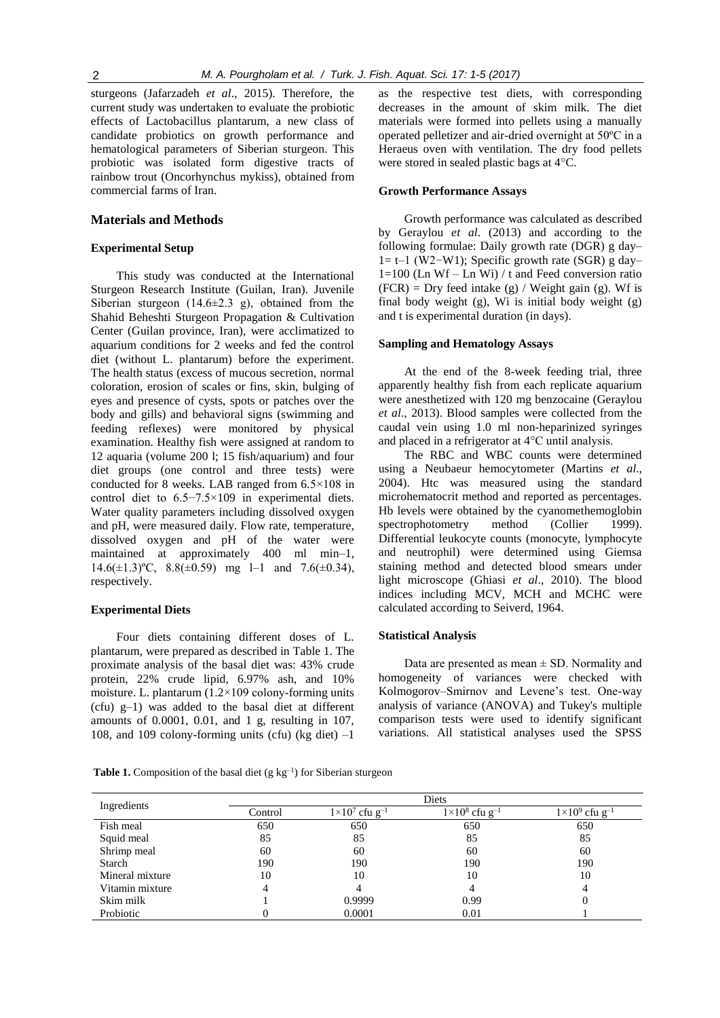sturgeons (Jafarzadeh *et al*., 2015). Therefore, the current study was undertaken to evaluate the probiotic effects of Lactobacillus plantarum, a new class of candidate probiotics on growth performance and hematological parameters of Siberian sturgeon. This probiotic was isolated form digestive tracts of rainbow trout (Oncorhynchus mykiss), obtained from commercial farms of Iran.

#### **Materials and Methods**

# **Experimental Setup**

This study was conducted at the International Sturgeon Research Institute (Guilan, Iran). Juvenile Siberian sturgeon  $(14.6 \pm 2.3 \text{ g})$ , obtained from the Shahid Beheshti Sturgeon Propagation & Cultivation Center (Guilan province, Iran), were acclimatized to aquarium conditions for 2 weeks and fed the control diet (without L. plantarum) before the experiment. The health status (excess of mucous secretion, normal coloration, erosion of scales or fins, skin, bulging of eyes and presence of cysts, spots or patches over the body and gills) and behavioral signs (swimming and feeding reflexes) were monitored by physical examination. Healthy fish were assigned at random to 12 aquaria (volume 200 l; 15 fish/aquarium) and four diet groups (one control and three tests) were conducted for 8 weeks. LAB ranged from 6.5×108 in control diet to 6.5−7.5×109 in experimental diets. Water quality parameters including dissolved oxygen and pH, were measured daily. Flow rate, temperature, dissolved oxygen and pH of the water were maintained at approximately 400 ml min–1, 14.6( $\pm$ 1.3)<sup>o</sup>C, 8.8( $\pm$ 0.59) mg l-1 and 7.6( $\pm$ 0.34), respectively.

#### **Experimental Diets**

Four diets containing different doses of L. plantarum, were prepared as described in Table 1. The proximate analysis of the basal diet was: 43% crude protein, 22% crude lipid, 6.97% ash, and 10% moisture. L. plantarum (1.2×109 colony-forming units (cfu) g–1) was added to the basal diet at different amounts of 0.0001, 0.01, and 1 g, resulting in 107, 108, and 109 colony-forming units (cfu) (kg diet)  $-1$ 

as the respective test diets, with corresponding decreases in the amount of skim milk. The diet materials were formed into pellets using a manually operated pelletizer and air-dried overnight at 50ºC in a Heraeus oven with ventilation. The dry food pellets were stored in sealed plastic bags at 4°C.

### **Growth Performance Assays**

Growth performance was calculated as described by Geraylou *et al*. (2013) and according to the following formulae: Daily growth rate (DGR) g day– 1= t–1 (W2−W1); Specific growth rate (SGR) g day–  $1=100$  (Ln Wf – Ln Wi) / t and Feed conversion ratio  $(FCR)$  = Dry feed intake (g) / Weight gain (g). Wf is final body weight  $(g)$ , Wi is initial body weight  $(g)$ and t is experimental duration (in days).

#### **Sampling and Hematology Assays**

At the end of the 8-week feeding trial, three apparently healthy fish from each replicate aquarium were anesthetized with 120 mg benzocaine (Geraylou *et al*., 2013). Blood samples were collected from the caudal vein using 1.0 ml non-heparinized syringes and placed in a refrigerator at 4°C until analysis.

The RBC and WBC counts were determined using a Neubaeur hemocytometer (Martins *et al*., 2004). Htc was measured using the standard microhematocrit method and reported as percentages. Hb levels were obtained by the cyanomethemoglobin spectrophotometry method (Collier 1999). Differential leukocyte counts (monocyte, lymphocyte and neutrophil) were determined using Giemsa staining method and detected blood smears under light microscope (Ghiasi *et al*., 2010). The blood indices including MCV, MCH and MCHC were calculated according to Seiverd, 1964.

# **Statistical Analysis**

Data are presented as mean  $\pm$  SD. Normality and homogeneity of variances were checked with Kolmogorov–Smirnov and Levene's test. One-way analysis of variance (ANOVA) and Tukey's multiple comparison tests were used to identify significant variations. All statistical analyses used the SPSS

**Table 1.** Composition of the basal diet  $(g \ kg^{-1})$  for Siberian sturgeon

| Ingredients     | Diets   |                                   |                                   |                                   |
|-----------------|---------|-----------------------------------|-----------------------------------|-----------------------------------|
|                 | Control | $1\times10^7$ cfu g <sup>-1</sup> | $1\times10^8$ cfu g <sup>-1</sup> | $1\times10^9$ cfu g <sup>-1</sup> |
| Fish meal       | 650     | 650                               | 650                               | 650                               |
| Squid meal      | 85      | 85                                | 85                                | 85                                |
| Shrimp meal     | 60      | 60                                | 60                                | 60                                |
| Starch          | 190     | 190                               | 190                               | 190                               |
| Mineral mixture | 10      | 10                                | 10                                | 10                                |
| Vitamin mixture |         |                                   |                                   |                                   |
| Skim milk       |         | 0.9999                            | 0.99                              |                                   |
| Probiotic       |         | 0.0001                            | 0.01                              |                                   |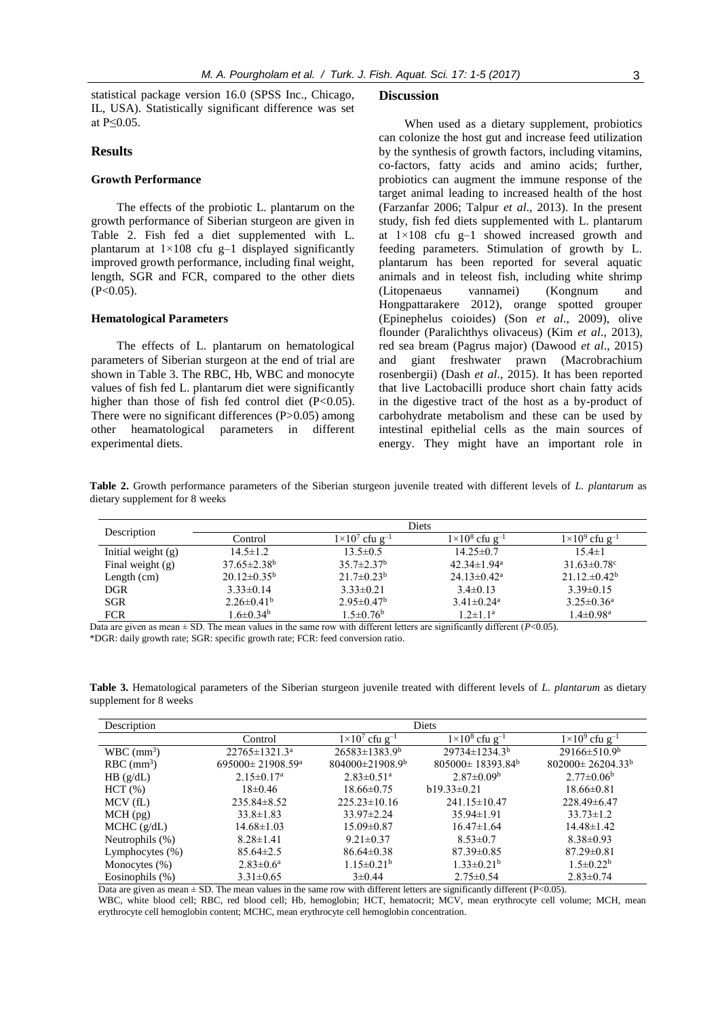statistical package version 16.0 (SPSS Inc., Chicago, IL, USA). Statistically significant difference was set at P≤0.05.

# **Results**

# **Growth Performance**

The effects of the probiotic L. plantarum on the growth performance of Siberian sturgeon are given in Table 2. Fish fed a diet supplemented with L. plantarum at  $1 \times 108$  cfu g-1 displayed significantly improved growth performance, including final weight, length, SGR and FCR, compared to the other diets  $(P<0.05)$ .

#### **Hematological Parameters**

The effects of L. plantarum on hematological parameters of Siberian sturgeon at the end of trial are shown in Table 3. The RBC, Hb, WBC and monocyte values of fish fed L. plantarum diet were significantly higher than those of fish fed control diet (P<0.05). There were no significant differences (P>0.05) among other heamatological parameters in different experimental diets.

#### **Discussion**

When used as a dietary supplement, probiotics can colonize the host gut and increase feed utilization by the synthesis of growth factors, including vitamins, co-factors, fatty acids and amino acids; further, probiotics can augment the immune response of the target animal leading to increased health of the host (Farzanfar 2006; Talpur *et al*., 2013). In the present study, fish fed diets supplemented with L. plantarum at 1×108 cfu g–1 showed increased growth and feeding parameters. Stimulation of growth by L. plantarum has been reported for several aquatic animals and in teleost fish, including white shrimp (Litopenaeus vannamei) (Kongnum and Hongpattarakere 2012), orange spotted grouper (Epinephelus coioides) (Son *et al*., 2009), olive flounder (Paralichthys olivaceus) (Kim *et al*., 2013), red sea bream (Pagrus major) (Dawood *et al*., 2015) and giant freshwater prawn (Macrobrachium rosenbergii) (Dash *et al*., 2015). It has been reported that live Lactobacilli produce short chain fatty acids in the digestive tract of the host as a by-product of carbohydrate metabolism and these can be used by intestinal epithelial cells as the main sources of energy. They might have an important role in

**Table 2.** Growth performance parameters of the Siberian sturgeon juvenile treated with different levels of *L. plantarum* as dietary supplement for 8 weeks

| Description          | <b>Diets</b>             |                                   |                                   |                                   |
|----------------------|--------------------------|-----------------------------------|-----------------------------------|-----------------------------------|
|                      | Control                  | $1\times10^7$ cfu g <sup>-1</sup> | $1\times10^8$ cfu g <sup>-1</sup> | $1\times10^9$ cfu g <sup>-1</sup> |
| Initial weight $(g)$ | $14.5 \pm 1.2$           | $13.5 \pm 0.5$                    | $14.25 \pm 0.7$                   | $15.4 \pm 1$                      |
| Final weight $(g)$   | $37.65 \pm 2.38^{\rm b}$ | $35.7 \pm 2.37^{\rm b}$           | $42.34 \pm 1.94$ <sup>a</sup>     | $31.63 \pm 0.78$ °                |
| Length $(cm)$        | $20.12 \pm 0.35^b$       | $21.7 \pm 0.23^b$                 | $24.13 \pm 0.42^a$                | $21.12 \pm 0.42^b$                |
| <b>DGR</b>           | $3.33\pm0.14$            | $3.33\pm0.21$                     | $3.4\pm0.13$                      | $3.39\pm0.15$                     |
| <b>SGR</b>           | $2.26\pm0.41^{\rm b}$    | $2.95 \pm 0.47^b$                 | $3.41 \pm 0.24$ <sup>a</sup>      | $3.25 \pm 0.36^a$                 |
| <b>FCR</b>           | $1.6 \pm 0.34^{\rm b}$   | $1.5 \pm 0.76^b$                  | $1.2 \pm 1.1^a$                   | $1.4 \pm 0.98$ <sup>a</sup>       |

Data are given as mean  $\pm$  SD. The mean values in the same row with different letters are significantly different ( $P$ <0.05). \*DGR: daily growth rate; SGR: specific growth rate; FCR: feed conversion ratio.

**Table 3.** Hematological parameters of the Siberian sturgeon juvenile treated with different levels of *L. plantarum* as dietary supplement for 8 weeks

| Description              | Diets                              |                                   |                                   |                                   |
|--------------------------|------------------------------------|-----------------------------------|-----------------------------------|-----------------------------------|
|                          | Control                            | $1\times10^7$ cfu g <sup>-1</sup> | $1\times10^8$ cfu g <sup>-1</sup> | $1\times10^9$ cfu g <sup>-1</sup> |
| $WBC$ (mm <sup>3</sup> ) | $22765 \pm 1321.3^a$               | $26583 \pm 1383.9^b$              | $29734 \pm 1234.3^b$              | $29166 \pm 510.9^b$               |
| $RBC$ (mm <sup>3</sup> ) | $695000 \pm 21908.59$ <sup>a</sup> | 804000±21908.9b                   | $805000 \pm 18393.84^b$           | $802000 \pm 26204.33^b$           |
| HB (g/dL)                | $2.15 \pm 0.17^{\text{a}}$         | $2.83 \pm 0.51$ <sup>a</sup>      | $2.87 \pm 0.09^b$                 | $2.77 \pm 0.06^b$                 |
| HCT(%)                   | $18\pm0.46$                        | $18.66 \pm 0.75$                  | $b19.33 \pm 0.21$                 | $18.66 \pm 0.81$                  |
| $MCV$ (fL)               | $235.84 \pm 8.52$                  | $225.23 \pm 10.16$                | $241.15 \pm 10.47$                | 228.49±6.47                       |
| $MCH$ (pg)               | $33.8 \pm 1.83$                    | $33.97 \pm 2.24$                  | $35.94 \pm 1.91$                  | $33.73 \pm 1.2$                   |
| MCHC (g/dL)              | $14.68 \pm 1.03$                   | $15.09 \pm 0.87$                  | $16.47 \pm 1.64$                  | $14.48 \pm 1.42$                  |
| Neutrophils (%)          | $8.28 \pm 1.41$                    | $9.21 \pm 0.37$                   | $8.53 \pm 0.7$                    | $8.38 \pm 0.93$                   |
| Lymphocytes $(\%)$       | $85.64 \pm 2.5$                    | $86.64 \pm 0.38$                  | $87.39 \pm 0.85$                  | $87.29 \pm 0.81$                  |
| Monocytes $(\%)$         | $2.83 \pm 0.6^a$                   | $1.15 \pm 0.21^b$                 | $1.33 \pm 0.21^b$                 | $1.5 \pm 0.22^b$                  |
| Eosinophils (%)          | $3.31 \pm 0.65$                    | $3 \pm 0.44$                      | $2.75 \pm 0.54$                   | $2.83 \pm 0.74$                   |

Data are given as mean  $\pm$  SD. The mean values in the same row with different letters are significantly different (P<0.05).

WBC, white blood cell; RBC, red blood cell; Hb, hemoglobin; HCT, hematocrit; MCV, mean erythrocyte cell volume; MCH, mean erythrocyte cell hemoglobin content; MCHC, mean erythrocyte cell hemoglobin concentration.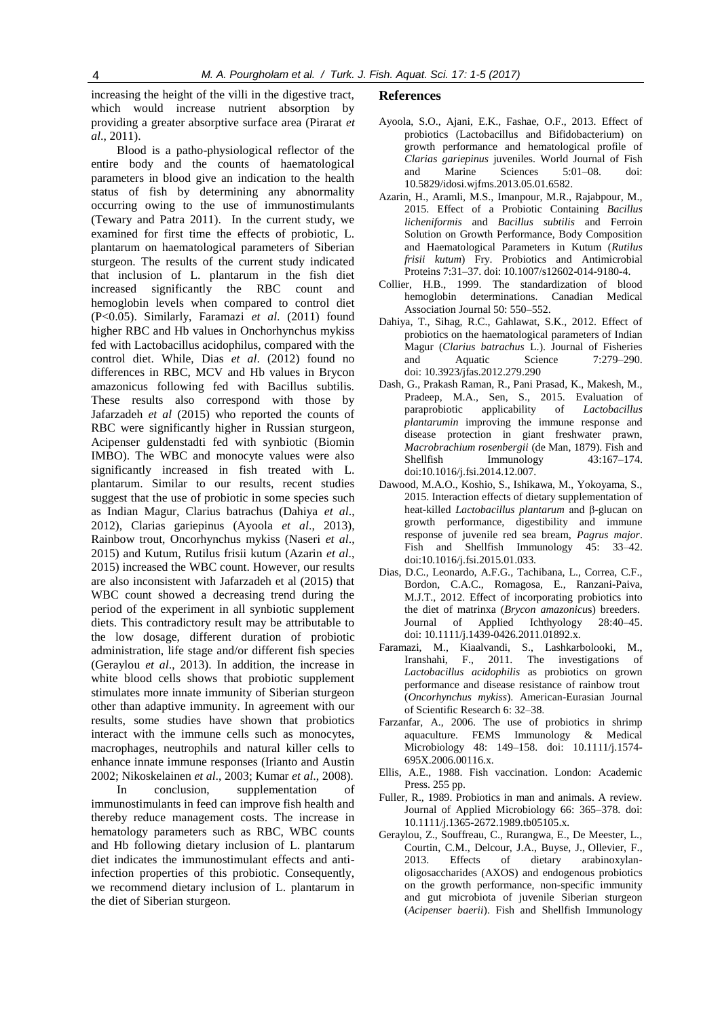increasing the height of the villi in the digestive tract, which would increase nutrient absorption by providing a greater absorptive surface area (Pirarat *et al*., 2011).

Blood is a patho-physiological reflector of the entire body and the counts of haematological parameters in blood give an indication to the health status of fish by determining any abnormality occurring owing to the use of immunostimulants (Tewary and Patra 2011). In the current study, we examined for first time the effects of probiotic, L. plantarum on haematological parameters of Siberian sturgeon. The results of the current study indicated that inclusion of L. plantarum in the fish diet increased significantly the RBC count and hemoglobin levels when compared to control diet (P<0.05). Similarly, Faramazi *et al*. (2011) found higher RBC and Hb values in Onchorhynchus mykiss fed with Lactobacillus acidophilus, compared with the control diet. While, Dias *et al*. (2012) found no differences in RBC, MCV and Hb values in Brycon amazonicus following fed with Bacillus subtilis. These results also correspond with those by Jafarzadeh *et al* (2015) who reported the counts of RBC were significantly higher in Russian sturgeon, Acipenser guldenstadti fed with synbiotic (Biomin IMBO). The WBC and monocyte values were also significantly increased in fish treated with L. plantarum. Similar to our results, recent studies suggest that the use of probiotic in some species such as Indian Magur, Clarius batrachus (Dahiya *et al*., 2012), Clarias gariepinus (Ayoola *et al*., 2013), Rainbow trout, Oncorhynchus mykiss (Naseri *et al*., 2015) and Kutum, Rutilus frisii kutum (Azarin *et al*., 2015) increased the WBC count. However, our results are also inconsistent with Jafarzadeh et al (2015) that WBC count showed a decreasing trend during the period of the experiment in all synbiotic supplement diets. This contradictory result may be attributable to the low dosage, different duration of probiotic administration, life stage and/or different fish species (Geraylou *et al*., 2013). In addition, the increase in white blood cells shows that probiotic supplement stimulates more innate immunity of Siberian sturgeon other than adaptive immunity. In agreement with our results, some studies have shown that probiotics interact with the immune cells such as monocytes, macrophages, neutrophils and natural killer cells to enhance innate immune responses (Irianto and Austin 2002; Nikoskelainen *et al*., 2003; Kumar *et al*., 2008).

In conclusion, supplementation of immunostimulants in feed can improve fish health and thereby reduce management costs. The increase in hematology parameters such as RBC, WBC counts and Hb following dietary inclusion of L. plantarum diet indicates the immunostimulant effects and antiinfection properties of this probiotic. Consequently, we recommend dietary inclusion of L. plantarum in the diet of Siberian sturgeon.

#### **References**

- Ayoola, S.O., Ajani, E.K., Fashae, O.F., 2013. Effect of probiotics (Lactobacillus and Bifidobacterium) on growth performance and hematological profile of *Clarias gariepinus* juveniles. World Journal of Fish and Marine Sciences 5:01–08. doi: 10.5829/idosi.wjfms.2013.05.01.6582.
- Azarin, H., Aramli, M.S., Imanpour, M.R., Rajabpour, M., 2015. Effect of a Probiotic Containing *Bacillus licheniformis* and *Bacillus subtilis* and Ferroin Solution on Growth Performance, Body Composition and Haematological Parameters in Kutum (*Rutilus frisii kutum*) Fry. Probiotics and Antimicrobial Proteins 7:31–37. doi: 10.1007/s12602-014-9180-4.
- Collier, H.B., 1999. The standardization of blood hemoglobin determinations. Canadian Medical Association Journal 50: 550–552.
- Dahiya, T., Sihag, R.C., Gahlawat, S.K., 2012. Effect of probiotics on the haematological parameters of Indian Magur (*Clarius batrachus* L.). Journal of Fisheries and Aquatic Science 7:279–290. doi: 10.3923/jfas.2012.279.290
- Dash, G., Prakash Raman, R., Pani Prasad, K., Makesh, M., Pradeep, M.A., Sen, S., 2015. Evaluation of paraprobiotic applicability of *Lactobacillus plantarumin* improving the immune response and disease protection in giant freshwater prawn, *Macrobrachium rosenbergii* (de Man, 1879). Fish and Shellfish Immunology 43:167–174. doi:10.1016/j.fsi.2014.12.007.
- Dawood, M.A.O., Koshio, S., Ishikawa, M., Yokoyama, S., 2015. Interaction effects of dietary supplementation of heat-killed *Lactobacillus plantarum* and β-glucan on growth performance, digestibility and immune response of juvenile red sea bream, *Pagrus major*. Fish and Shellfish Immunology 45: 33–42. doi:10.1016/j.fsi.2015.01.033.
- Dias, D.C., Leonardo, A.F.G., Tachibana, L., Correa, C.F., Bordon, C.A.C., Romagosa, E., Ranzani-Paiva, M.J.T., 2012. Effect of incorporating probiotics into the diet of matrinxa (*Brycon amazonicu*s) breeders. Journal of Applied Ichthyology 28:40–45. doi: 10.1111/j.1439-0426.2011.01892.x.
- Faramazi, M., Kiaalvandi, S., Lashkarbolooki, M., Iranshahi, F., 2011. The investigations of *Lactobacillus acidophilis* as probiotics on grown performance and disease resistance of rainbow trout (*Oncorhynchus mykiss*). American-Eurasian Journal of Scientific Research 6: 32–38.
- Farzanfar, A., 2006. The use of probiotics in shrimp aquaculture. FEMS Immunology & Medical Microbiology 48: 149–158. doi: 10.1111/j.1574- 695X.2006.00116.x.
- Ellis, A.E., 1988. Fish vaccination. London: Academic Press. 255 pp.
- Fuller, R., 1989. Probiotics in man and animals. A review. Journal of Applied Microbiology 66: 365–378. doi: 10.1111/j.1365-2672.1989.tb05105.x.
- Geraylou, Z., Souffreau, C., Rurangwa, E., De Meester, L., Courtin, C.M., Delcour, J.A., Buyse, J., Ollevier, F., 2013. Effects of dietary arabinoxylanoligosaccharides (AXOS) and endogenous probiotics on the growth performance, non-specific immunity and gut microbiota of juvenile Siberian sturgeon (*Acipenser baerii*). Fish and Shellfish Immunology